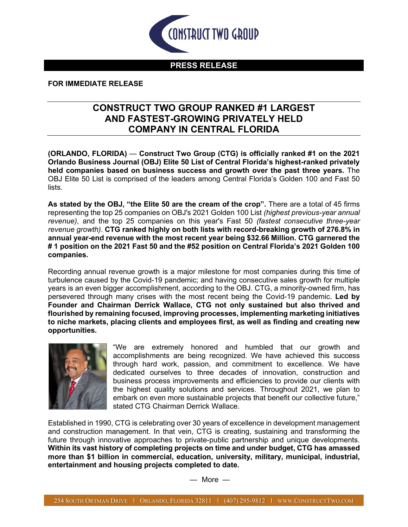

## **PRESS RELEASE**

## **FOR IMMEDIATE RELEASE**

## **CONSTRUCT TWO GROUP RANKED #1 LARGEST AND FASTEST-GROWING PRIVATELY HELD COMPANY IN CENTRAL FLORIDA**

**(ORLANDO, FLORIDA)** — **Construct Two Group (CTG) is officially ranked #1 on the 2021 Orlando Business Journal (OBJ) Elite 50 List of Central Florida's highest-ranked privately held companies based on business success and growth over the past three years.** The OBJ Elite 50 List is comprised of the leaders among Central Florida's Golden 100 and Fast 50 lists.

**As stated by the OBJ, "the Elite 50 are the cream of the crop".** There are a total of 45 firms representing the top 25 companies on OBJ's 2021 Golden 100 List *(highest previous-year annual revenue)*, and the top 25 companies on this year's Fast 50 *(fastest consecutive three-year revenue growth)*. **CTG ranked highly on both lists with record-breaking growth of 276.8% in annual year-end revenue with the most recent year being \$32.66 Million. CTG garnered the # 1 position on the 2021 Fast 50 and the #52 position on Central Florida's 2021 Golden 100 companies.**

Recording annual revenue growth is a major milestone for most companies during this time of turbulence caused by the Covid-19 pandemic; and having consecutive sales growth for multiple years is an even bigger accomplishment, according to the OBJ. CTG, a minority-owned firm, has persevered through many crises with the most recent being the Covid-19 pandemic. **Led by Founder and Chairman Derrick Wallace, CTG not only sustained but also thrived and flourished by remaining focused, improving processes, implementing marketing initiatives to niche markets, placing clients and employees first, as well as finding and creating new opportunities.**



"We are extremely honored and humbled that our growth and accomplishments are being recognized. We have achieved this success through hard work, passion, and commitment to excellence. We have dedicated ourselves to three decades of innovation, construction and business process improvements and efficiencies to provide our clients with the highest quality solutions and services. Throughout 2021, we plan to embark on even more sustainable projects that benefit our collective future," stated CTG Chairman Derrick Wallace.

Established in 1990, CTG is celebrating over 30 years of excellence in development management and construction management. In that vein, CTG is creating, sustaining and transforming the future through innovative approaches to private-public partnership and unique developments. **Within its vast history of completing projects on time and under budget, CTG has amassed more than \$1 billion in commercial, education, university, military, municipal, industrial, entertainment and housing projects completed to date.**

— More —